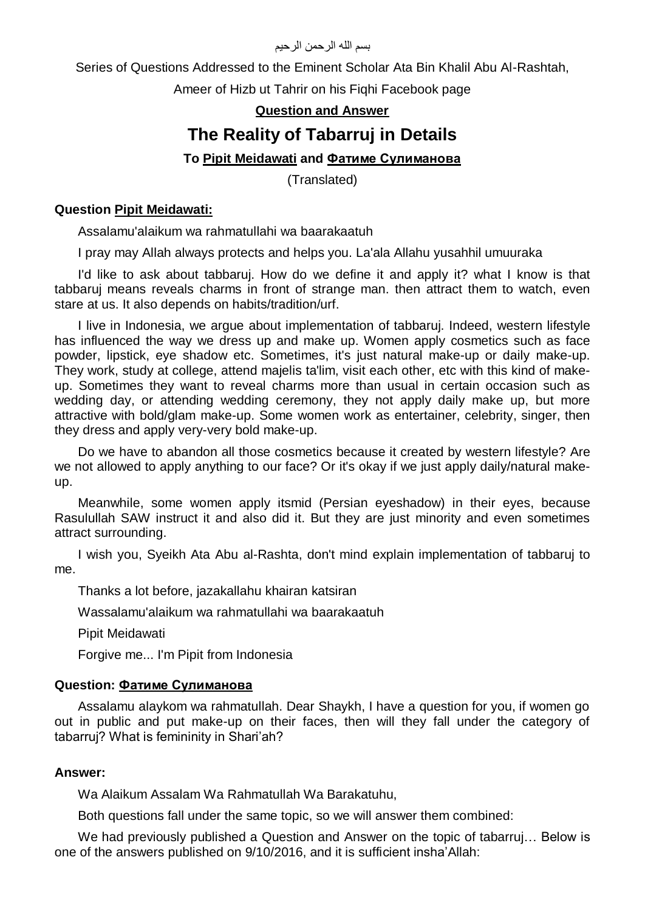بسم الله الرحمن الرحيم

Series of Questions Addressed to the Eminent Scholar Ata Bin Khalil Abu Al-Rashtah,

Ameer of Hizb ut Tahrir on his Fiqhi Facebook page

## **Question and Answer**

# **The Reality of Tabarruj in Details**

## **To Pipit Meidawati and Фатиме Сулиманова**

(Translated)

### **Question Pipit Meidawati:**

Assalamu'alaikum wa rahmatullahi wa baarakaatuh

I pray may Allah always protects and helps you. La'ala Allahu yusahhil umuuraka

I'd like to ask about tabbaruj. How do we define it and apply it? what I know is that tabbaruj means reveals charms in front of strange man. then attract them to watch, even stare at us. It also depends on habits/tradition/urf.

I live in Indonesia, we argue about implementation of tabbaruj. Indeed, western lifestyle has influenced the way we dress up and make up. Women apply cosmetics such as face powder, lipstick, eye shadow etc. Sometimes, it's just natural make-up or daily make-up. They work, study at college, attend majelis ta'lim, visit each other, etc with this kind of makeup. Sometimes they want to reveal charms more than usual in certain occasion such as wedding day, or attending wedding ceremony, they not apply daily make up, but more attractive with bold/glam make-up. Some women work as entertainer, celebrity, singer, then they dress and apply very-very bold make-up.

Do we have to abandon all those cosmetics because it created by western lifestyle? Are we not allowed to apply anything to our face? Or it's okay if we just apply daily/natural makeup.

Meanwhile, some women apply itsmid (Persian eyeshadow) in their eyes, because Rasulullah SAW instruct it and also did it. But they are just minority and even sometimes attract surrounding.

I wish you, Syeikh Ata Abu al-Rashta, don't mind explain implementation of tabbaruj to me.

Thanks a lot before, jazakallahu khairan katsiran

Wassalamu'alaikum wa rahmatullahi wa baarakaatuh

Pipit Meidawati

Forgive me... I'm Pipit from Indonesia

#### **Question: Фатиме Сулиманова**

Assalamu alaykom wa rahmatullah. Dear Shaykh, I have a question for you, if women go out in public and put make-up on their faces, then will they fall under the category of tabarruj? What is femininity in Shari'ah?

#### **Answer:**

Wa Alaikum Assalam Wa Rahmatullah Wa Barakatuhu,

Both questions fall under the same topic, so we will answer them combined:

We had previously published a Question and Answer on the topic of tabarruj... Below is one of the answers published on 9/10/2016, and it is sufficient insha'Allah: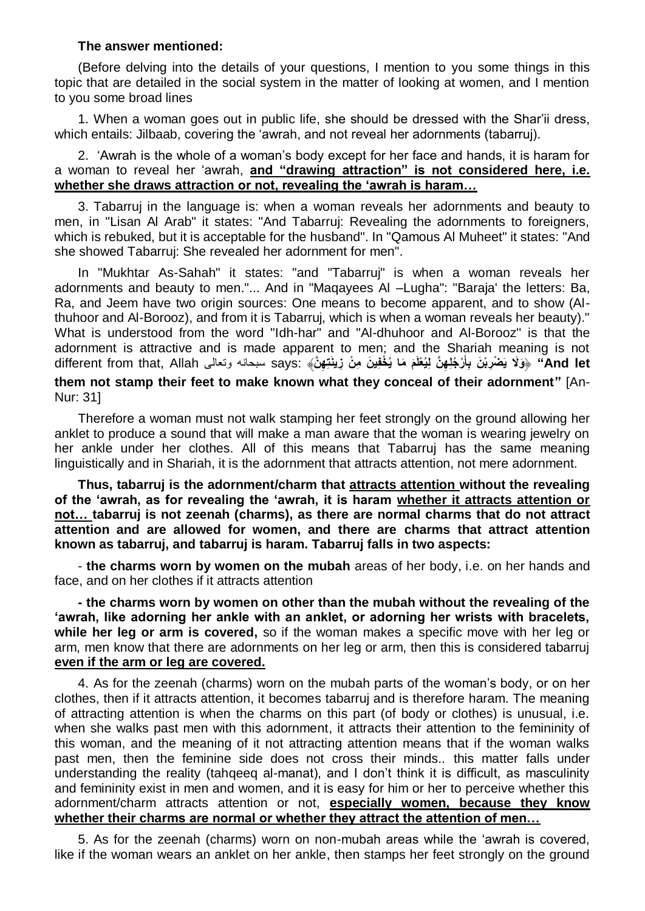#### **The answer mentioned:**

(Before delving into the details of your questions, I mention to you some things in this topic that are detailed in the social system in the matter of looking at women, and I mention to you some broad lines

1. When a woman goes out in public life, she should be dressed with the Shar'ii dress, which entails: Jilbaab, covering the 'awrah, and not reveal her adornments (tabarruj).

2. 'Awrah is the whole of a woman's body except for her face and hands, it is haram for a woman to reveal her 'awrah, **and "drawing attraction" is not considered here, i.e. whether she draws attraction or not, revealing the 'awrah is haram…**

3. Tabarruj in the language is: when a woman reveals her adornments and beauty to men, in "Lisan Al Arab" it states: "And Tabarruj: Revealing the adornments to foreigners, which is rebuked, but it is acceptable for the husband". In "Qamous Al Muheet" it states: "And she showed Tabarruj: She revealed her adornment for men".

In "Mukhtar As-Sahah" it states: "and "Tabarruj" is when a woman reveals her adornments and beauty to men."... And in "Maqayees Al –Lugha": "Baraja' the letters: Ba, Ra, and Jeem have two origin sources: One means to become apparent, and to show (Althuhoor and Al-Borooz), and from it is Tabarruj, which is when a woman reveals her beauty)." What is understood from the word "Idh-har" and "Al-dhuhoor and Al-Borooz'' is that the adornment is attractive and is made apparent to men; and the Shariah meaning is not And let" ﴿وَلَا يَصْرِبْنَ بِأَرْجُلِهِنَّ لِيُغْلَمَ مَا يُخْفِينَ مِنْ زِينَـنِهِنَّ﴾ :says سبحانه ونعالى different from that, Allah **َ them not stamp their feet to make known what they conceal of their adornment"** [An-Nur: 31]

Therefore a woman must not walk stamping her feet strongly on the ground allowing her anklet to produce a sound that will make a man aware that the woman is wearing jewelry on her ankle under her clothes. All of this means that Tabarruj has the same meaning linguistically and in Shariah, it is the adornment that attracts attention, not mere adornment.

**Thus, tabarruj is the adornment/charm that attracts attention without the revealing of the 'awrah, as for revealing the 'awrah, it is haram whether it attracts attention or not… tabarruj is not zeenah (charms), as there are normal charms that do not attract attention and are allowed for women, and there are charms that attract attention known as tabarruj, and tabarruj is haram. Tabarruj falls in two aspects:**

- **the charms worn by women on the mubah** areas of her body, i.e. on her hands and face, and on her clothes if it attracts attention

**- the charms worn by women on other than the mubah without the revealing of the 'awrah, like adorning her ankle with an anklet, or adorning her wrists with bracelets, while her leg or arm is covered,** so if the woman makes a specific move with her leg or arm, men know that there are adornments on her leg or arm, then this is considered tabarruj **even if the arm or leg are covered.**

4. As for the zeenah (charms) worn on the mubah parts of the woman's body, or on her clothes, then if it attracts attention, it becomes tabarruj and is therefore haram. The meaning of attracting attention is when the charms on this part (of body or clothes) is unusual, i.e. when she walks past men with this adornment, it attracts their attention to the femininity of this woman, and the meaning of it not attracting attention means that if the woman walks past men, then the feminine side does not cross their minds.. this matter falls under understanding the reality (tahqeeq al-manat), and I don't think it is difficult, as masculinity and femininity exist in men and women, and it is easy for him or her to perceive whether this adornment/charm attracts attention or not, **especially women, because they know whether their charms are normal or whether they attract the attention of men…**

5. As for the zeenah (charms) worn on non-mubah areas while the 'awrah is covered, like if the woman wears an anklet on her ankle, then stamps her feet strongly on the ground